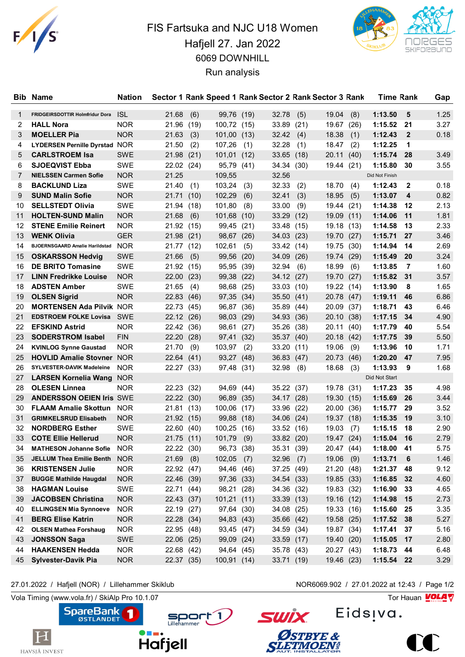

## FIS Fartsuka and NJC U18 Women Hafjell 27. Jan 2022 6069 DOWNHILL Run analysis



|    | <b>Bib Name</b>                        | <b>Nation</b> |                |      |             |      |            |      | Sector 1 Rank Speed 1 Rank Sector 2 Rank Sector 3 Rank |      | <b>Time Rank</b> |              | Gap  |
|----|----------------------------------------|---------------|----------------|------|-------------|------|------------|------|--------------------------------------------------------|------|------------------|--------------|------|
| 1  | <b>FRIDGEIRSDOTTIR Holmfridur Dora</b> | <b>ISL</b>    | 21.68          | (6)  | 99,76 (19)  |      | 32.78      | (5)  | 19.04                                                  | (8)  | 1:13.50          | 5            | 1.25 |
| 2  | <b>HALL Nora</b>                       | <b>NOR</b>    | 21.96 (19)     |      | 100,72      | (15) | 33.89      | (21) | 19.67                                                  | (26) | 1:15.52          | 21           | 3.27 |
| 3  | <b>MOELLER Pia</b>                     | <b>NOR</b>    | 21.63          | (3)  | 101,00      | (13) | 32.42      | (4)  | 18.38                                                  | (1)  | 1:12.43          | $\mathbf{2}$ | 0.18 |
| 4  | <b>LYDERSEN Pernille Dyrstad NOR</b>   |               | 21.50          | (2)  | 107,26      | (1)  | 32.28      | (1)  | 18.47                                                  | (2)  | 1:12.25          | 1            |      |
| 5  | <b>CARLSTROEM Isa</b>                  | <b>SWE</b>    | 21.98 (21)     |      | 101,01      | (12) | 33.65      | (18) | 20.11                                                  | (40) | 1:15.74          | 28           | 3.49 |
| 6  | <b>SJOEQVIST Ebba</b>                  | SWE           | 22.02 (24)     |      | 95,79       | (41) | 34.34      | (30) | 19.44 (21)                                             |      | 1:15.80          | 30           | 3.55 |
| 7  | <b>NIELSSEN Carmen Sofie</b>           | <b>NOR</b>    | 21.25          |      | 109,55      |      | 32.56      |      |                                                        |      | Did Not Finish   |              |      |
| 8  | <b>BACKLUND Liza</b>                   | <b>SWE</b>    | 21.40          | (1)  | 103,24      | (3)  | 32.33      | (2)  | 18.70                                                  | (4)  | 1:12.43          | 2            | 0.18 |
| 9  | <b>SUND Malin Sofie</b>                | <b>NOR</b>    | 21.71          | (10) | 102,29      | (6)  | 32.41      | (3)  | 18.95                                                  | (5)  | 1:13.07          | 4            | 0.82 |
| 10 | <b>SELLSTEDT Olivia</b>                | SWE           | 21.94 (18)     |      | 101,80      | (8)  | 33.00      | (9)  | 19.44                                                  | (21) | 1:14.38          | 12           | 2.13 |
| 11 | <b>HOLTEN-SUND Malin</b>               | <b>NOR</b>    | 21.68          | (6)  | 101,68      | (10) | 33.29      | (12) | 19.09                                                  | (11) | 1:14.06          | 11           | 1.81 |
| 12 | <b>STENE Emilie Reinert</b>            | <b>NOR</b>    | 21.92 (15)     |      | 99,45       | (21) | 33.48      | (15) | 19.18 (13)                                             |      | 1:14.58          | 13           | 2.33 |
| 13 | <b>WENK Olivia</b>                     | <b>GER</b>    | 21.98 (21)     |      | 98,67       | (26) | 34.03      | (23) | 19.70 (27)                                             |      | 1:15.71          | 27           | 3.46 |
| 14 | BJOERNSGAARD Amalie Harildstad NOR     |               | 21.77 (12)     |      | 102,61      | (5)  | 33.42      | (14) | 19.75                                                  | (30) | 1:14.94          | 14           | 2.69 |
| 15 | <b>OSKARSSON Hedvig</b>                | <b>SWE</b>    | 21.66          | (5)  | 99,56       | (20) | 34.09      | (26) | 19.74                                                  | (29) | 1:15.49          | 20           | 3.24 |
| 16 | <b>DE BRITO Tomasine</b>               | <b>SWE</b>    | 21.92 (15)     |      | 95,95       | (39) | 32.94      | (6)  | 18.99                                                  | (6)  | 1:13.85          | 7            | 1.60 |
| 17 | <b>LINN Fredrikke Louise</b>           | <b>NOR</b>    | 22.00          | (23) | 99,38       | (22) | 34.12      | (27) | 19.70                                                  | (27) | 1:15.82          | 31           | 3.57 |
| 18 | <b>ADSTEN Amber</b>                    | <b>SWE</b>    | 21.65          | (4)  | 98,68       | (25) | 33.03      | (10) | 19.22 (14)                                             |      | 1:13.90          | 8            | 1.65 |
| 19 | <b>OLSEN Sigrid</b>                    | <b>NOR</b>    | 22.83 (46)     |      | 97,35       | (34) | 35.50      | (41) | 20.78 (47)                                             |      | 1:19.11          | 46           | 6.86 |
| 20 | <b>MORTENSEN Ada Pilvik NOR</b>        |               | 22.73          | (45) | 96,87       | (36) | 35.89      | (44) | 20.09                                                  | (37) | 1:18.71          | 43           | 6.46 |
| 21 | <b>EDSTROEM FOLKE Lovisa SWE</b>       |               | 22.12 (26)     |      | 98,03       | (29) | 34.93      | (36) | 20.10                                                  | (38) | 1:17.15          | -34          | 4.90 |
| 22 | <b>EFSKIND Astrid</b>                  | <b>NOR</b>    | 22.42 (36)     |      | 98,61       | (27) | 35.26      | (38) | 20.11                                                  | (40) | 1:17.79          | 40           | 5.54 |
| 23 | <b>SODERSTROM Isabel</b>               | <b>FIN</b>    | 22.20          | (28) | 97,41       | (32) | 35.37      | (40) | 20.18                                                  | (42) | 1:17.75          | 39           | 5.50 |
| 24 | <b>KVINLOG Synne Gaustad</b>           | <b>NOR</b>    | 21.70          | (9)  | 103,97      | (2)  | 33.20      | (11) | 19.06                                                  | (9)  | 1:13.96          | 10           | 1.71 |
| 25 | <b>HOVLID Amalie Stovner NOR</b>       |               | 22.64(41)      |      | 93,27       | (48) | 36.83      | (47) | 20.73                                                  | (46) | 1:20.20          | 47           | 7.95 |
| 26 | <b>SYLVESTER-DAVIK Madeleine</b>       | <b>NOR</b>    | 22.27 (33)     |      | 97,48       | (31) | 32.98      | (8)  | 18.68                                                  | (3)  | 1:13.93          | 9            | 1.68 |
| 27 | <b>LARSEN Kornelia Wang</b>            | <b>NOR</b>    |                |      |             |      |            |      |                                                        |      | Did Not Start    |              |      |
| 28 | <b>OLESEN Linnea</b>                   | NOR.          | 22.23 (32)     |      | 94,69       | (44) | 35.22 (37) |      | 19.78 (31)                                             |      | 1:17.23          | 35           | 4.98 |
| 29 | <b>ANDERSSON OEIEN Iris SWE</b>        |               | 22.22 (30)     |      | 96,89       | (35) | 34.17 (28) |      | 19.30                                                  | (15) | 1:15.69          | 26           | 3.44 |
| 30 | <b>FLAAM Amalie Skottun NOR</b>        |               | 21.81 (13)     |      | 100,06      | (17) | 33.96      | (22) | 20.00                                                  | (36) | 1:15.77          | 29           | 3.52 |
| 31 | <b>GRIMKELSRUD Elisabeth</b>           | <b>NOR</b>    | 21.92 (15)     |      | 99,88       | (18) | 34.06      | (24) | 19.37                                                  | (18) | 1:15.35          | 19           | 3.10 |
| 32 | <b>NORDBERG Esther</b>                 | <b>SWE</b>    | 22.60 (40)     |      | 100,25      | (16) | 33.52 (16) |      | 19.03                                                  | (7)  | 1:15.15          | 18           | 2.90 |
| 33 | <b>COTE Ellie Hellerud</b>             | <b>NOR</b>    | 21.75 (11)     |      | 101,79      | (9)  | 33.82 (20) |      | 19.47 (24)                                             |      | 1:15.04          | 16           | 2.79 |
| 34 | <b>MATHESON Johanne Sofie</b>          | <b>NOR</b>    | 22.22 (30)     |      | 96,73 (38)  |      | 35.31 (39) |      | 20.47 (44)                                             |      | 1:18.00          | -41          | 5.75 |
| 35 | JELLUM Thea Emilie Benth               | <b>NOR</b>    | $21.69$ (8)    |      | 102,05      | (7)  | 32.96      | (7)  | 19.06                                                  | (9)  | 1:13.71          | 6            | 1.46 |
| 36 | <b>KRISTENSEN Julie</b>                | <b>NOR</b>    | 22.92 (47)     |      | 94,46       | (46) | 37.25 (49) |      | 21.20 (48)                                             |      | 1:21.37          | 48           | 9.12 |
| 37 | <b>BUGGE Mathilde Haugdal</b>          | <b>NOR</b>    | 22.46 (39)     |      | 97,36 (33)  |      | 34.54 (33) |      | 19.85 (33)                                             |      | 1:16.85          | 32           | 4.60 |
| 38 | <b>HAGMAN Louise</b>                   | SWE           | 22.71 (44)     |      | 98,21       | (28) | 34.36 (32) |      | 19.83 (32)                                             |      | 1:16.90          | - 33         | 4.65 |
| 39 | <b>JACOBSEN Christina</b>              | <b>NOR</b>    | 22.43 (37)     |      | 101,21 (11) |      | 33.39 (13) |      | 19.16 (12)                                             |      | 1:14.98          | 15           | 2.73 |
| 40 | <b>ELLINGSEN Mia Synnoeve</b>          | <b>NOR</b>    | 22.19 (27)     |      | 97,64       | (30) | 34.08 (25) |      | 19.33 (16)                                             |      | 1:15.60 25       |              | 3.35 |
| 41 | <b>BERG Elise Katrin</b>               | <b>NOR</b>    | 22.28 (34)     |      | 94,83 (43)  |      | 35.66 (42) |      | 19.58 (25)                                             |      | 1:17.52 38       |              | 5.27 |
| 42 | <b>OLSEN Mathea Forshaug</b>           | <b>NOR</b>    | 22.95 (48)     |      | 93,45 (47)  |      | 34.59 (34) |      | 19.87 (34)                                             |      | 1:17.41          | 37           | 5.16 |
| 43 | <b>JONSSON Saga</b>                    | SWE           | $22.06$ $(25)$ |      | 99,09 (24)  |      | 33.59 (17) |      | 19.40 (20)                                             |      | 1:15.05          | 17           | 2.80 |
| 44 | <b>HAAKENSEN Hedda</b>                 | <b>NOR</b>    | 22.68 (42)     |      | 94,64 (45)  |      | 35.78 (43) |      | 20.27 (43)                                             |      | 1:18.73          | -44          | 6.48 |
| 45 | <b>Sylvester-Davik Pia</b>             | <b>NOR</b>    | 22.37 (35)     |      | 100,91 (14) |      | 33.71 (19) |      | 19.46 (23)                                             |      | 1:15.54 22       |              | 3.29 |

**SpareBank** 

 $\bf H$ 

HAVSJÅ INVEST

27.01.2022 / Hafjell (NOR) / Lillehammer Skiklub NOR6069.902 / 27.01.2022 at 12:43 / Page 1/2

Vola Timing (www.vola.fr) / SkiAlp Pro 10.1.07  $\sqrt{2}$